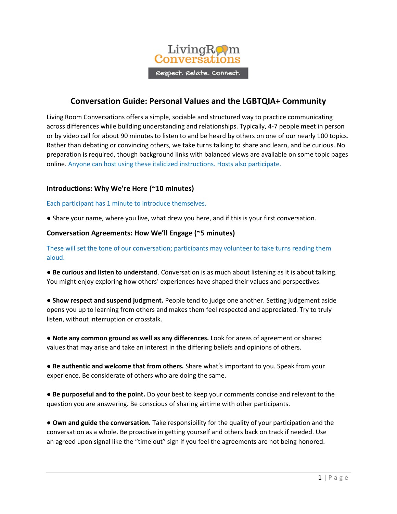

# **Conversation Guide: Personal Values and the LGBTQIA+ Community**

Living Room Conversations offers a simple, sociable and structured way to practice communicating across differences while building understanding and relationships. Typically, 4-7 people meet in person or by video call for about 90 minutes to listen to and be heard by others on one of our nearly 100 topics. Rather than debating or convincing others, we take turns talking to share and learn, and be curious. No preparation is required, though background links with balanced views are available on some topic pages online. Anyone can host using these italicized instructions. Hosts also participate.

## **Introductions: Why We're Here (~10 minutes)**

Each participant has 1 minute to introduce themselves.

● Share your name, where you live, what drew you here, and if this is your first conversation.

## **Conversation Agreements: How We'll Engage (~5 minutes)**

These will set the tone of our conversation; participants may volunteer to take turns reading them aloud.

● **Be curious and listen to understand**. Conversation is as much about listening as it is about talking. You might enjoy exploring how others' experiences have shaped their values and perspectives.

● **Show respect and suspend judgment.** People tend to judge one another. Setting judgement aside opens you up to learning from others and makes them feel respected and appreciated. Try to truly listen, without interruption or crosstalk.

● **Note any common ground as well as any differences.** Look for areas of agreement or shared values that may arise and take an interest in the differing beliefs and opinions of others.

● **Be authentic and welcome that from others.** Share what's important to you. Speak from your experience. Be considerate of others who are doing the same.

● **Be purposeful and to the point.** Do your best to keep your comments concise and relevant to the question you are answering. Be conscious of sharing airtime with other participants.

**● Own and guide the conversation.** Take responsibility for the quality of your participation and the conversation as a whole. Be proactive in getting yourself and others back on track if needed. Use an agreed upon signal like the "time out" sign if you feel the agreements are not being honored.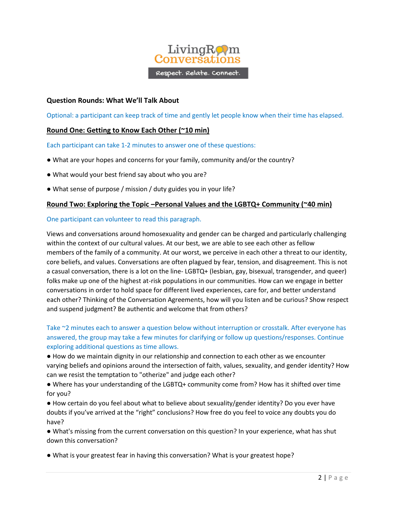

## **Question Rounds: What We'll Talk About**

Optional: a participant can keep track of time and gently let people know when their time has elapsed.

## **Round One: Getting to Know Each Other (~10 min)**

Each participant can take 1-2 minutes to answer one of these questions:

- What are your hopes and concerns for your family, community and/or the country?
- What would your best friend say about who you are?
- What sense of purpose / mission / duty guides you in your life?

### **Round Two: Exploring the Topic –Personal Values and the LGBTQ+ Community (~40 min)**

#### One participant can volunteer to read this paragraph.

Views and conversations around homosexuality and gender can be charged and particularly challenging within the context of our cultural values. At our best, we are able to see each other as fellow members of the family of a community. At our worst, we perceive in each other a threat to our identity, core beliefs, and values. Conversations are often plagued by fear, tension, and disagreement. This is not a casual conversation, there is a lot on the line- LGBTQ+ (lesbian, gay, bisexual, transgender, and queer) folks make up one of the highest at-risk populations in our communities. How can we engage in better conversations in order to hold space for different lived experiences, care for, and better understand each other? Thinking of the Conversation Agreements, how will you listen and be curious? Show respect and suspend judgment? Be authentic and welcome that from others?

Take ~2 minutes each to answer a question below without interruption or crosstalk. After everyone has answered, the group may take a few minutes for clarifying or follow up questions/responses. Continue exploring additional questions as time allows.

● How do we maintain dignity in our relationship and connection to each other as we encounter varying beliefs and opinions around the intersection of faith, values, sexuality, and gender identity? How can we resist the temptation to "otherize" and judge each other?

● Where has your understanding of the LGBTQ+ community come from? How has it shifted over time for you?

● How certain do you feel about what to believe about sexuality/gender identity? Do you ever have doubts if you've arrived at the "right" conclusions? How free do you feel to voice any doubts you do have?

● What's missing from the current conversation on this question? In your experience, what has shut down this conversation?

● What is your greatest fear in having this conversation? What is your greatest hope?